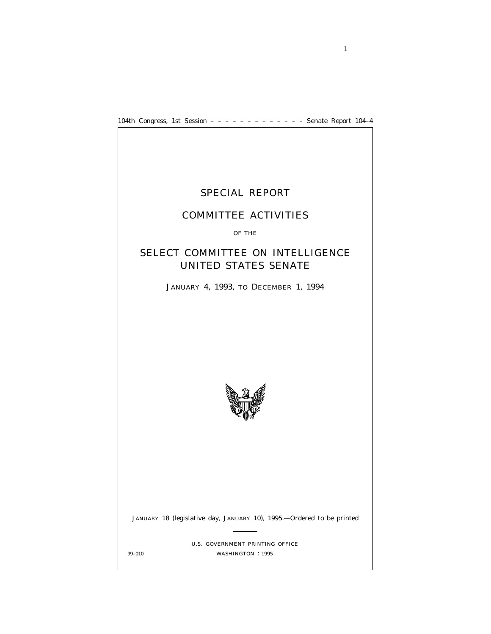104th Congress, 1st Session – – – – – – – – – – – – – Senate Report 104–4



1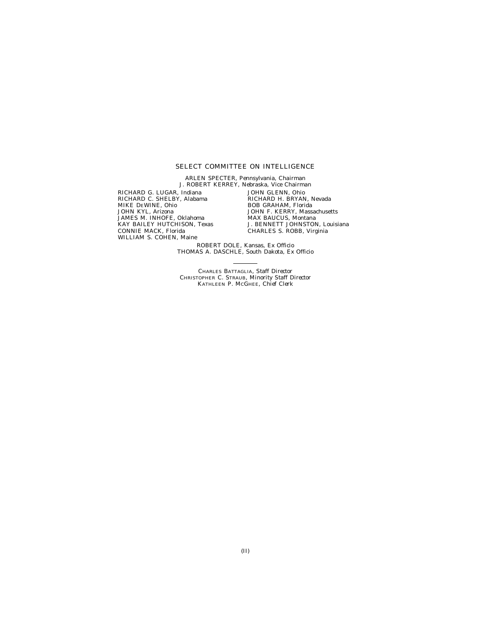### SELECT COMMITTEE ON INTELLIGENCE

ARLEN SPECTER, Pennsylvania, *Chairman* J. ROBERT KERREY, Nebraska, *Vice Chairman* RICHARD G. LUGAR, Indiana RICHARD C. SHELBY, Alabama MIKE DEWINE, Ohio JOHN KYL, Arizona JAMES M. INHOFE, Oklahoma KAY BAILEY HUTCHISON, Texas CONNIE MACK, Florida WILLIAM S. COHEN, Maine JOHN GLENN, Ohio RICHARD H. BRYAN, Nevada BOB GRAHAM, Florida JOHN F. KERRY, Massachusetts MAX BAUCUS, Montana J. BENNETT JOHNSTON, Louisiana

CHARLES S. ROBB, Virginia ROBERT DOLE, Kansas, *Ex Officio*

THOMAS A. DASCHLE, South Dakota, *Ex Officio*

CHARLES BATTAGLIA, *Staff Director* CHRISTOPHER C. STRAUB, *Minority Staff Director* KATHLEEN P. MCGHEE, *Chief Clerk*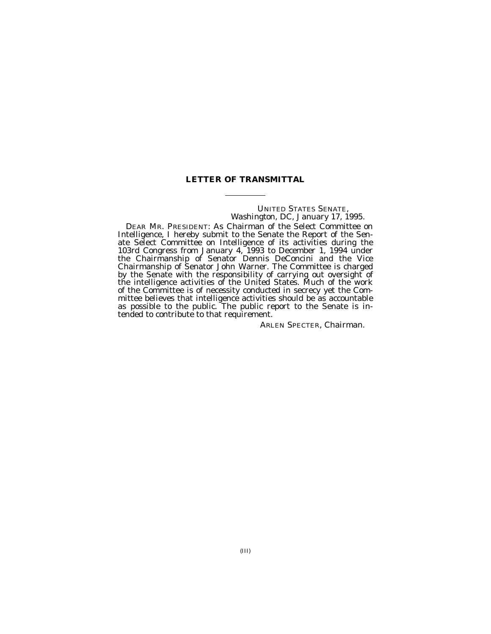### **LETTER OF TRANSMITTAL**

### UNITED STATES SENATE, *Washington, DC, January 17, 1995.*

DEAR MR. PRESIDENT: As Chairman of the Select Committee on Intelligence, I hereby submit to the Senate the Report of the Senate Select Committee on Intelligence of its activities during the 103rd Congress from January 4, 1993 to December 1, 1994 under the Chairmanship of Senator Dennis DeConcini and the Vice Chairmanship of Senator John Warner. The Committee is charged by the Senate with the responsibility of carrying out oversight of the intelligence activities of the United States. Much of the work of the Committee is of necessity conducted in secrecy yet the Committee believes that intelligence activities should be as accountable as possible to the public. The public report to the Senate is intended to contribute to that requirement.

ARLEN SPECTER, *Chairman.*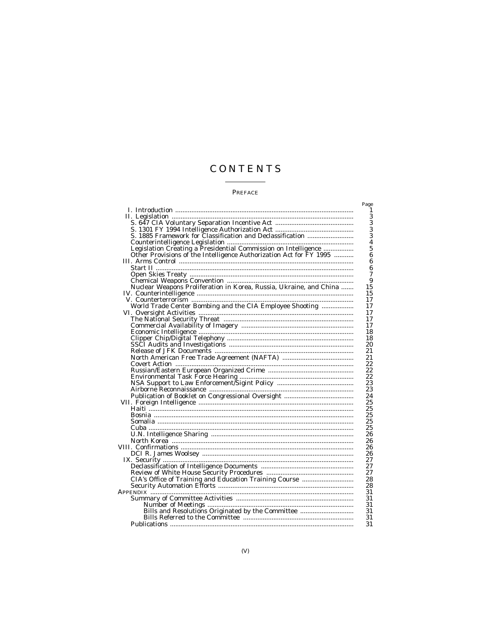# CONTENTS

### $\ensuremath{\mathop{\mathrm{PREFACE}}}\xspace$

|                                                                                                                                                                        | Page                    |
|------------------------------------------------------------------------------------------------------------------------------------------------------------------------|-------------------------|
|                                                                                                                                                                        | 1                       |
|                                                                                                                                                                        | 3                       |
|                                                                                                                                                                        | $\check{3}$             |
|                                                                                                                                                                        |                         |
|                                                                                                                                                                        | $\frac{3}{3}$           |
|                                                                                                                                                                        | $\overline{\mathbf{4}}$ |
|                                                                                                                                                                        | 5                       |
| Other Provisions of the Intelligence Authorization Act for FY 1995                                                                                                     | $\boldsymbol{6}$        |
|                                                                                                                                                                        | $\boldsymbol{6}$        |
|                                                                                                                                                                        | $\boldsymbol{6}$        |
|                                                                                                                                                                        | $\overline{7}$          |
|                                                                                                                                                                        | 9                       |
|                                                                                                                                                                        | 15                      |
| IV. Counterintelligence<br>V. Counterterrorism<br>World Trade Center Bombing and the CIA Employee Shooting<br>World Trade Center Bombing and the CIA Employee Shooting | 15                      |
|                                                                                                                                                                        | 17                      |
|                                                                                                                                                                        | 17                      |
|                                                                                                                                                                        | 17                      |
|                                                                                                                                                                        | 17                      |
|                                                                                                                                                                        | 17                      |
|                                                                                                                                                                        | 18                      |
|                                                                                                                                                                        | 18                      |
|                                                                                                                                                                        | 20                      |
|                                                                                                                                                                        | 21                      |
|                                                                                                                                                                        | 21                      |
|                                                                                                                                                                        | 22                      |
|                                                                                                                                                                        | 22                      |
|                                                                                                                                                                        | 22                      |
|                                                                                                                                                                        | 23                      |
|                                                                                                                                                                        | 23                      |
|                                                                                                                                                                        | 24                      |
|                                                                                                                                                                        | 25                      |
|                                                                                                                                                                        | 25                      |
|                                                                                                                                                                        | 25                      |
|                                                                                                                                                                        | 25                      |
|                                                                                                                                                                        | 25                      |
|                                                                                                                                                                        | 26                      |
|                                                                                                                                                                        | 26                      |
|                                                                                                                                                                        | 26                      |
|                                                                                                                                                                        | 26                      |
|                                                                                                                                                                        | 27                      |
|                                                                                                                                                                        | 27                      |
|                                                                                                                                                                        | 27                      |
|                                                                                                                                                                        | 28                      |
|                                                                                                                                                                        | 28                      |
|                                                                                                                                                                        | 31                      |
|                                                                                                                                                                        | 31                      |
|                                                                                                                                                                        | 31                      |
|                                                                                                                                                                        | 31                      |
|                                                                                                                                                                        | 31                      |
|                                                                                                                                                                        | 31                      |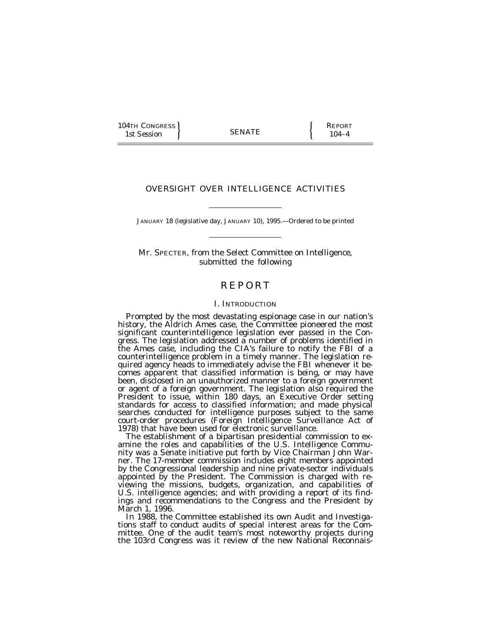104TH CONGRESS SENATE REPORT 1st Session (SENATE ) 104–4

### OVERSIGHT OVER INTELLIGENCE ACTIVITIES

JANUARY 18 (legislative day, JANUARY 10), 1995.—Ordered to be printed

Mr. SPECTER, from the Select Committee on Intelligence, submitted the following

## **REPORT**

### I. INTRODUCTION

Prompted by the most devastating espionage case in our nation's history, the Aldrich Ames case, the Committee pioneered the most significant counterintelligence legislation ever passed in the Congress. The legislation addressed a number of problems identified in the Ames case, including the CIA's failure to notify the FBI of a counterintelligence problem in a timely manner. The legislation required agency heads to immediately advise the FBI whenever it becomes apparent that classified information is being, or may have been, disclosed in an unauthorized manner to a foreign government or agent of a foreign government. The legislation also required the President to issue, within 180 days, an Executive Order setting standards for access to classified information; and made physical searches conducted for intelligence purposes subject to the same court-order procedures (Foreign Intelligence Surveillance Act of 1978) that have been used for electronic surveillance.

The establishment of a bipartisan presidential commission to examine the roles and capabilities of the U.S. Intelligence Community was a Senate initiative put forth by Vice Chairman John Warner. The 17-member commission includes eight members appointed by the Congressional leadership and nine private-sector individuals appointed by the President. The Commission is charged with reviewing the missions, budgets, organization, and capabilities of U.S. intelligence agencies; and with providing a report of its findings and recommendations to the Congress and the President by March 1, 1996.

In 1988, the Committee established its own Audit and Investigations staff to conduct audits of special interest areas for the Committee. One of the audit team's most noteworthy projects during the 103rd Congress was it review of the new National Reconnais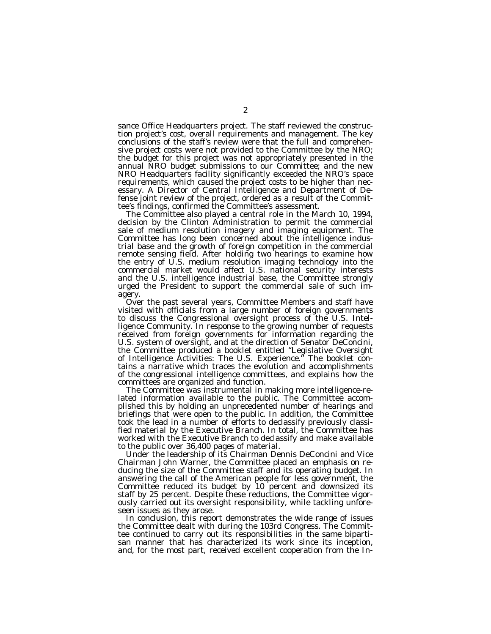sance Office Headquarters project. The staff reviewed the construction project's cost, overall requirements and management. The key conclusions of the staff's review were that the full and comprehensive project costs were not provided to the Committee by the NRO; the budget for this project was not appropriately presented in the annual NRO budget submissions to our Committee; and the new NRO Headquarters facility significantly exceeded the NRO's space requirements, which caused the project costs to be higher than necessary. A Director of Central Intelligence and Department of Defense joint review of the project, ordered as a result of the Committee's findings, confirmed the Committee's assessment.

The Committee also played a central role in the March 10, 1994, decision by the Clinton Administration to permit the commercial sale of medium resolution imagery and imaging equipment. The Committee has long been concerned about the intelligence industrial base and the growth of foreign competition in the commercial remote sensing field. After holding two hearings to examine how the entry of U.S. medium resolution imaging technology into the commercial market would affect U.S. national security interests and the U.S. intelligence industrial base, the Committee strongly urged the President to support the commercial sale of such imagery.

Over the past several years, Committee Members and staff have visited with officials from a large number of foreign governments to discuss the Congressional oversight process of the U.S. Intelligence Community. In response to the growing number of requests received from foreign governments for information regarding the U.S. system of oversight, and at the direction of Senator DeConcini, the Committee produced a booklet entitled ''Legislative Oversight of Intelligence Activities: The U.S. Experience.'' The booklet contains a narrative which traces the evolution and accomplishments of the congressional intelligence committees, and explains how the committees are organized and function.

The Committee was instrumental in making more intelligence-related information available to the public. The Committee accomplished this by holding an unprecedented number of hearings and briefings that were open to the public. In addition, the Committee took the lead in a number of efforts to declassify previously classified material by the Executive Branch. In total, the Committee has worked with the Executive Branch to declassify and make available to the public over 36,400 pages of material.

Under the leadership of its Chairman Dennis DeConcini and Vice Chairman John Warner, the Committee placed an emphasis on reducing the size of the Committee staff and its operating budget. In answering the call of the American people for less government, the Committee reduced its budget by 10 percent and downsized its staff by 25 percent. Despite these reductions, the Committee vigorously carried out its oversight responsibility, while tackling unforeseen issues as they arose.

In conclusion, this report demonstrates the wide range of issues the Committee dealt with during the 103rd Congress. The Committee continued to carry out its responsibilities in the same bipartisan manner that has characterized its work since its inception, and, for the most part, received excellent cooperation from the In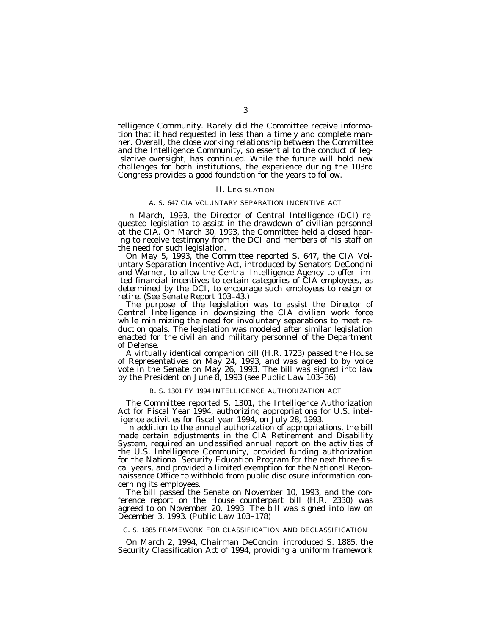telligence Community. Rarely did the Committee receive information that it had requested in less than a timely and complete manner. Overall, the close working relationship between the Committee and the Intelligence Community, so essential to the conduct of legislative oversight, has continued. While the future will hold new challenges for both institutions, the experience during the 103rd Congress provides a good foundation for the years to follow.

### II. LEGISLATION

### A. S. 647 CIA VOLUNTARY SEPARATION INCENTIVE ACT

In March, 1993, the Director of Central Intelligence (DCI) requested legislation to assist in the drawdown of civilian personnel at the CIA. On March 30, 1993, the Committee held a closed hearing to receive testimony from the DCI and members of his staff on the need for such legislation.

On May 5, 1993, the Committee reported S. 647, the CIA Voluntary Separation Incentive Act, introduced by Senators DeConcini and Warner, to allow the Central Intelligence Agency to offer limited financial incentives to certain categories of CIA employees, as determined by the DCI, to encourage such employees to resign or retire. (See Senate Report 103–43.)

The purpose of the legislation was to assist the Director of Central Intelligence in downsizing the CIA civilian work force while minimizing the need for involuntary separations to meet reduction goals. The legislation was modeled after similar legislation enacted for the civilian and military personnel of the Department of Defense.

A virtually identical companion bill (H.R. 1723) passed the House of Representatives on May 24, 1993, and was agreed to by voice vote in the Senate on May 26, 1993. The bill was signed into law by the President on June 8, 1993 (see Public Law 103–36).

#### B. S. 1301 FY 1994 INTELLIGENCE AUTHORIZATION ACT

The Committee reported S. 1301, the Intelligence Authorization Act for Fiscal Year 1994, authorizing appropriations for U.S. intelligence activities for fiscal year 1994, on July 28, 1993.

In addition to the annual authorization of appropriations, the bill made certain adjustments in the CIA Retirement and Disability System, required an unclassified annual report on the activities of the U.S. Intelligence Community, provided funding authorization for the National Security Education Program for the next three fiscal years, and provided a limited exemption for the National Reconnaissance Office to withhold from public disclosure information concerning its employees.

The bill passed the Senate on November 10, 1993, and the conference report on the House counterpart bill (H.R. 2330) was agreed to on November 20, 1993. The bill was signed into law on December 3, 1993. (Public Law 103–178)

C. S. 1885 FRAMEWORK FOR CLASSIFICATION AND DECLASSIFICATION

On March 2, 1994, Chairman DeConcini introduced S. 1885, the Security Classification Act of 1994, providing a uniform framework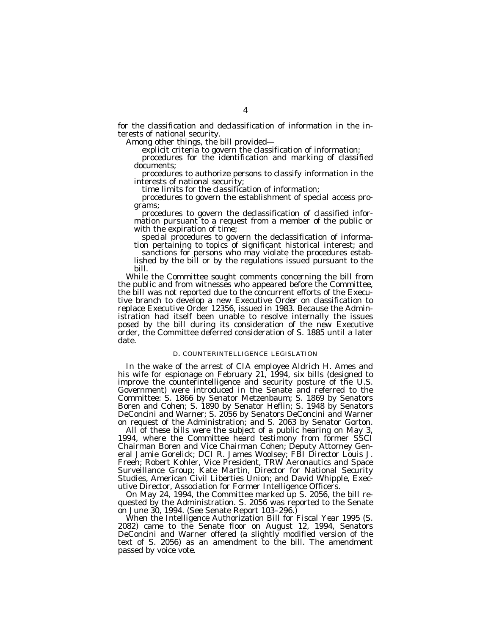for the classification and declassification of information in the interests of national security. Among other things, the bill provided— explicit criteria to govern the classification of information;

procedures for the identification and marking of classified documents;

procedures to authorize persons to classify information in the interests of national security; time limits for the classification of information;

procedures to govern the establishment of special access pro-

grams; procedures to govern the declassification of classified infor- mation pursuant to a request from a member of the public or with the expiration of time;<br>special procedures to govern the declassification of informa-

tion pertaining to topics of significant historical interest; and<br>sanctions for persons who may violate the procedures estab-<br>lished by the bill or by the regulations issued pursuant to the

bill.<br>While the Committee sought comments concerning the bill from the public and from witnesses who appeared before the Committee, the bill was not reported due to the concurrent efforts of the Executive branch to develop a new Executive Order on classification to replace Executive Order 12356, issued in 1983. Because the Administration had itself been unable to resolve internally the issues posed by the bill during its consideration of the new Executive order, the Committee deferred consideration of S. 1885 until a later date.

### D. COUNTERINTELLIGENCE LEGISLATION

In the wake of the arrest of CIA employee Aldrich H. Ames and his wife for espionage on February 21, 1994, six bills (designed to improve the counterintelligence and security posture of the U.S. Government) were introduced in the Senate and referred to the Committee: S. 1866 by Senator Metzenbaum; S. 1869 by Senators Boren and Cohen; S. 1890 by Senator Heflin; S. 1948 by Senators DeConcini and Warner; S. 2056 by Senators DeConcini and Warner on request of the Administration; and S. 2063 by Senator Gorton.

All of these bills were the subject of a public hearing on May 3, 1994, where the Committee heard testimony from former SSCI Chairman Boren and Vice Chairman Cohen; Deputy Attorney General Jamie Gorelick; DCI R. James Woolsey; FBI Director Louis J. Freeh; Robert Kohler, Vice President, TRW Aeronautics and Space Surveillance Group; Kate Martin, Director for National Security Studies, American Civil Liberties Union; and David Whipple, Executive Director, Association for Former Intelligence Officers.

On May 24, 1994, the Committee marked up S. 2056, the bill requested by the Administration. S. 2056 was reported to the Senate on June 30, 1994. (See Senate Report 103–296.)

When the Intelligence Authorization Bill for Fiscal Year 1995 (S. 2082) came to the Senate floor on August 12, 1994, Senators DeConcini and Warner offered (a slightly modified version of the text of S. 2056) as an amendment to the bill. The amendment passed by voice vote.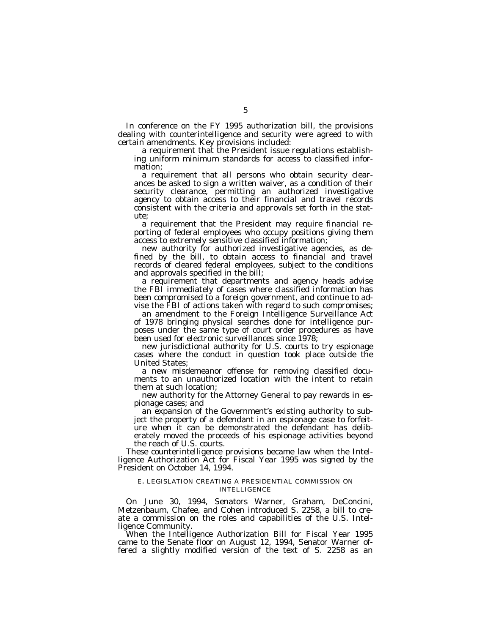In conference on the FY 1995 authorization bill, the provisions dealing with counterintelligence and security were agreed to with certain amendments. Key provisions included:

a requirement that the President issue regulations establishing uniform minimum standards for access to classified information;

a requirement that all persons who obtain security clearances be asked to sign a written waiver, as a condition of their security clearance, permitting an authorized investigative agency to obtain access to their financial and travel records consistent with the criteria and approvals set forth in the statute;

a requirement that the President may require financial reporting of federal employees who occupy positions giving them access to extremely sensitive classified information;

new authority for authorized investigative agencies, as defined by the bill, to obtain access to financial and travel records of cleared federal employees, subject to the conditions and approvals specified in the bill;

a requirement that departments and agency heads advise the FBI immediately of cases where classified information has been compromised to a foreign government, and continue to advise the FBI of actions taken with regard to such compromises;

an amendment to the Foreign Intelligence Surveillance Act of 1978 bringing physical searches done for intelligence purposes under the same type of court order procedures as have been used for electronic surveillances since 1978;

new jurisdictional authority for U.S. courts to try espionage cases where the conduct in question took place outside the United States;

a new misdemeanor offense for removing classified documents to an unauthorized location with the intent to retain them at such location;

new authority for the Attorney General to pay rewards in espionage cases; and

an expansion of the Government's existing authority to subject the property of a defendant in an espionage case to forfeiture when it can be demonstrated the defendant has deliberately moved the proceeds of his espionage activities beyond the reach of U.S. courts.

These counterintelligence provisions became law when the Intelligence Authorization Act for Fiscal Year 1995 was signed by the President on October 14, 1994.

### E. LEGISLATION CREATING A PRESIDENTIAL COMMISSION ON INTELLIGENCE

On June 30, 1994, Senators Warner, Graham, DeConcini, Metzenbaum, Chafee, and Cohen introduced S. 2258, a bill to create a commission on the roles and capabilities of the U.S. Intelligence Community.

When the Intelligence Authorization Bill for Fiscal Year 1995 came to the Senate floor on August 12, 1994, Senator Warner offered a slightly modified version of the text of S. 2258 as an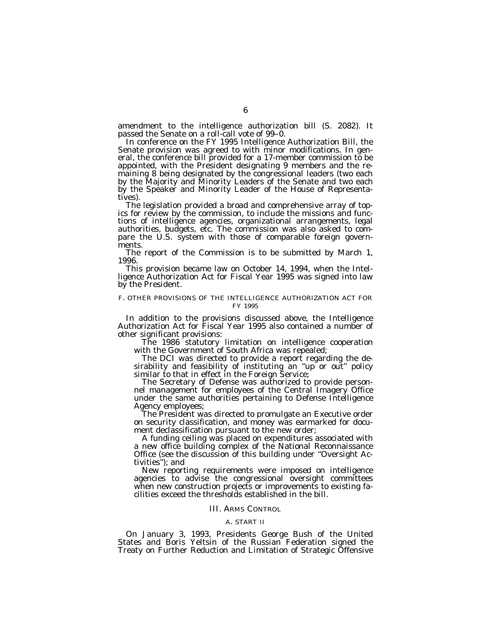amendment to the intelligence authorization bill (S. 2082). It passed the Senate on a roll-call vote of 99–0.<br>In conference on the FY 1995 Intelligence Authorization Bill, the

Senate provision was agreed to with minor modifications. In general, the conference bill provided for a 17-member commission to be appointed, with the President designating 9 members and the remaining 8 being designated by the congressional leaders (two each by the Majority and Minority Leaders of the Senate and two each by the Speaker and Minority Leader of the House of Representatives).

The legislation provided a broad and comprehensive array of top- ics for review by the commission, to include the missions and functions of intelligence agencies, organizational arrangements, legal authorities, budgets, etc. The commission was also asked to compare the U.S. system with those of comparable foreign governments.

The report of the Commission is to be submitted by March 1, 1996.

This provision became law on October 14, 1994, when the Intelligence Authorization Act for Fiscal Year 1995 was signed into law by the President.

### F. OTHER PROVISIONS OF THE INTELLIGENCE AUTHORIZATION ACT FOR FY 1995

In addition to the provisions discussed above, the Intelligence Authorization Act for Fiscal Year 1995 also contained a number of other significant provisions:

The 1986 statutory limitation on intelligence cooperation with the Government of South Africa was repealed;

The DCI was directed to provide a report regarding the desirability and feasibility of instituting an "up or out" policy similar to that in effect in the Foreign Service;

The Secretary of Defense was authorized to provide personnel management for employees of the Central Imagery Office under the same authorities pertaining to Defense Intelligence Agency employees;

The President was directed to promulgate an Executive order on security classification, and money was earmarked for document declassification pursuant to the new order;

A funding ceiling was placed on expenditures associated with a new office building complex of the National Reconnaissance Office (see the discussion of this building under ''Oversight Activities''); and

New reporting requirements were imposed on intelligence agencies to advise the congressional oversight committees when new construction projects or improvements to existing facilities exceed the thresholds established in the bill.

#### III. ARMS CONTROL

#### A. START II

On January 3, 1993, Presidents George Bush of the United States and Boris Yeltsin of the Russian Federation signed the Treaty on Further Reduction and Limitation of Strategic Offensive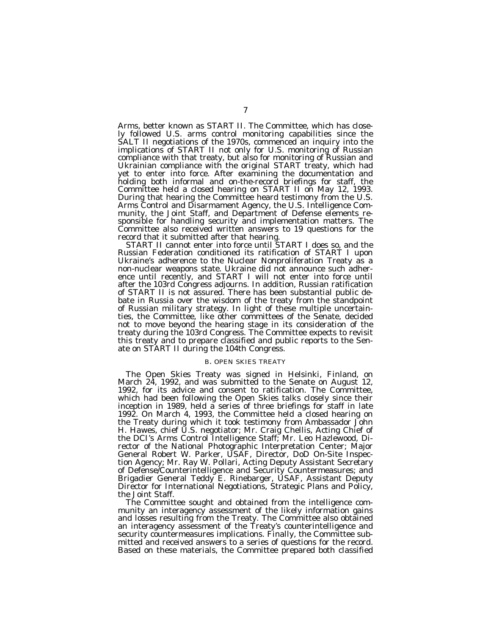Arms, better known as START II. The Committee, which has closely followed U.S. arms control monitoring capabilities since the SALT II negotiations of the 1970s, commenced an inquiry into the implications of START II not only for U.S. monitoring of Russian compliance with that treaty, but also for monitoring of Russian and Ukrainian compliance with the original START treaty, which had yet to enter into force. After examining the documentation and holding both informal and on-the-record briefings for staff, the Committee held a closed hearing on START II on May 12, 1993. During that hearing the Committee heard testimony from the U.S. Arms Control and Disarmament Agency, the U.S. Intelligence Community, the Joint Staff, and Department of Defense elements responsible for handling security and implementation matters. The Committee also received written answers to 19 questions for the record that it submitted after that hearing.

record that it submitted after that hearing. START II cannot enter into force until START I does so, and the Russian Federation conditioned its ratification of START I upon Ukraine's adherence to the Nuclear Nonproliferation Treaty as a non-nuclear weapons state. Ukraine did not announce such adherence until recently, and START I will not enter into force until after the 103rd Congress adjourns. In addition, Russian ratification of START II is not assured. There has been substantial public debate in Russia over the wisdom of the treaty from the standpoint of Russian military strategy. In light of these multiple uncertainties, the Committee, like other committees of the Senate, decided not to move beyond the hearing stage in its consideration of the treaty during the 103rd Congress. The Committee expects to revisit this treaty and to prepare classified and public reports to the Senate on START II during the 104th Congress.

#### B. OPEN SKIES TREATY

The Open Skies Treaty was signed in Helsinki, Finland, on March 24, 1992, and was submitted to the Senate on August 12, 1992, for its advice and consent to ratification. The Committee, which had been following the Open Skies talks closely since their inception in 1989, held a series of three briefings for staff in late 1992. On March 4, 1993, the Committee held a closed hearing on the Treaty during which it took testimony from Ambassador John H. Hawes, chief U.S. negotiator; Mr. Craig Chellis, Acting Chief of the DCI's Arms Control Intelligence Staff; Mr. Leo Hazlewood, Director of the National Photographic Interpretation Center; Major General Robert W. Parker, USAF, Director, DoD On-Site Inspection Agency; Mr. Ray W. Pollari, Acting Deputy Assistant Secretary of Defense/Counterintelligence and Security Countermeasures; and Brigadier General Teddy E. Rinebarger, USAF, Assistant Deputy Director for International Negotiations, Strategic Plans and Policy, the Joint Staff.

The Committee sought and obtained from the intelligence community an interagency assessment of the likely information gains and losses resulting from the Treaty. The Committee also obtained an interagency assessment of the Treaty's counterintelligence and security countermeasures implications. Finally, the Committee submitted and received answers to a series of questions for the record. Based on these materials, the Committee prepared both classified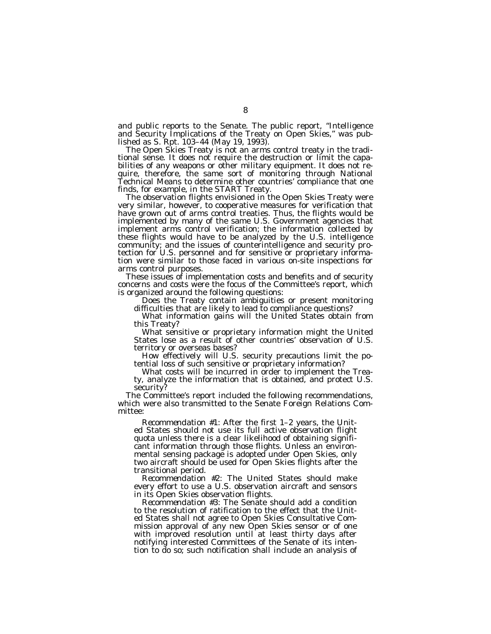and public reports to the Senate. The public report, ''Intelligence and Security Implications of the Treaty on Open Skies,'' was pub-

lished as S. Rpt. 103–44 (May 19, 1993). The Open Skies Treaty is not an arms control treaty in the tradi- tional sense. It does not require the destruction or limit the capabilities of any weapons or other military equipment. It does not require, therefore, the same sort of monitoring through National Technical Means to determine other countries' compliance that one

finds, for example, in the START Treaty.<br>The observation flights envisioned in the Open Skies Treaty were<br>very similar, however, to cooperative measures for verification that have grown out of arms control treaties. Thus, the flights would be implemented by many of the same U.S. Government agencies that implement arms control verification; the information collected by these flights would have to be analyzed by the U.S. intelligence community; and the issues of counterintelligence and security protection for U.S. personnel and for sensitive or proprietary information were similar to those faced in various on-site inspections for arms control purposes.<br>These issues of implementation costs and benefits and of security

concerns and costs were the focus of the Committee's report, which<br>is organized around the following questions:

Does the Treaty contain ambiguities or present monitoring<br>difficulties that are likely to lead to compliance questions?<br>What information gains will the United States obtain from<br>this Treaty?<br>What sensitive or proprietary i

territory or overseas bases?<br>How effectively will U.S. security precautions limit the po-<br>tential loss of such sensitive or proprietary information?<br>What costs will be incurred in order to implement the Trea-

ty, analyze the information that is obtained, and protect U.S.

security? The Committee's report included the following recommendations, which were also transmitted to the Senate Foreign Relations Committee:

*Recommendation #1:* After the first 1–2 years, the Unit-<br>ed States should not use its full active observation flight quota unless there is a clear likelihood of obtaining significant information through those flights. Unless an environmental sensing package is adopted under Open Skies, only two aircraft should be used for Open Skies flights after the transitional period.

*Recommendation #2:* The United States should make every effort to use a U.S. observation aircraft and sensors in its Open Skies observation flights.

*Recommendation #3:* The Senate should add a condition to the resolution of ratification to the effect that the United States shall not agree to Open Skies Consultative Commission approval of any new Open Skies sensor or of one with improved resolution until at least thirty days after notifying interested Committees of the Senate of its intention to do so; such notification shall include an analysis of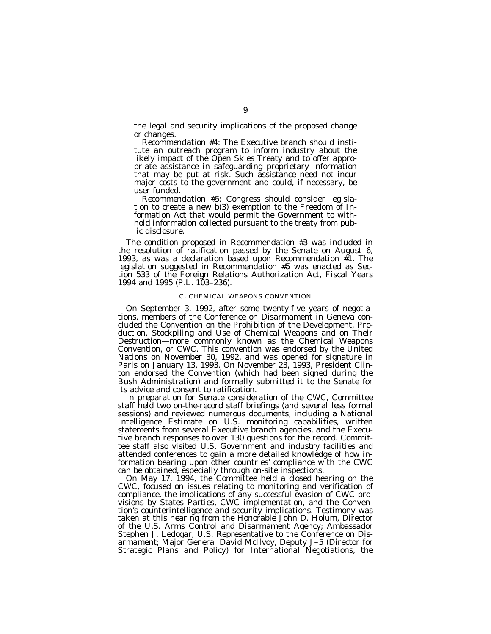the legal and security implications of the proposed change or changes.

*Recommendation #4:* The Executive branch should institute an outreach program to inform industry about the likely impact of the Open Skies Treaty and to offer appropriate assistance in safeguarding proprietary information that may be put at risk. Such assistance need not incur major costs to the government and could, if necessary, be user-funded.

*Recommendation #5:* Congress should consider legislation to create a new b(3) exemption to the Freedom of Information Act that would permit the Government to withhold information collected pursuant to the treaty from public disclosure.

The condition proposed in Recommendation #3 was included in the resolution of ratification passed by the Senate on August 6, 1993, as was a declaration based upon Recommendation  $\sharp$ 1. The legislation suggested in Recommendation #5 was enacted as Section 533 of the Foreign Relations Authorization Act, Fiscal Years 1994 and 1995 (P.L. 103–236).

### C. CHEMICAL WEAPONS CONVENTION

On September 3, 1992, after some twenty-five years of negotiations, members of the Conference on Disarmament in Geneva concluded the Convention on the Prohibition of the Development, Production, Stockpiling and Use of Chemical Weapons and on Their Destruction—more commonly known as the Chemical Weapons Convention, or CWC. This convention was endorsed by the United Nations on November 30, 1992, and was opened for signature in Paris on January 13, 1993. On November 23, 1993, President Clinton endorsed the Convention (which had been signed during the Bush Administration) and formally submitted it to the Senate for its advice and consent to ratification.

In preparation for Senate consideration of the CWC, Committee staff held two on-the-record staff briefings (and several less formal sessions) and reviewed numerous documents, including a National Intelligence Estimate on U.S. monitoring capabilities, written statements from several Executive branch agencies, and the Executive branch responses to over 130 questions for the record. Committee staff also visited U.S. Government and industry facilities and attended conferences to gain a more detailed knowledge of how information bearing upon other countries' compliance with the CWC can be obtained, especially through on-site inspections.

On May 17, 1994, the Committee held a closed hearing on the CWC, focused on issues relating to monitoring and verification of compliance, the implications of any successful evasion of CWC provisions by States Parties, CWC implementation, and the Convention's counterintelligence and security implications. Testimony was taken at this hearing from the Honorable John D. Holum, Director of the U.S. Arms Control and Disarmament Agency; Ambassador Stephen J. Ledogar, U.S. Representative to the Conference on Disarmament; Major General David McIlvoy, Deputy J–5 (Director for Strategic Plans and Policy) for International Negotiations, the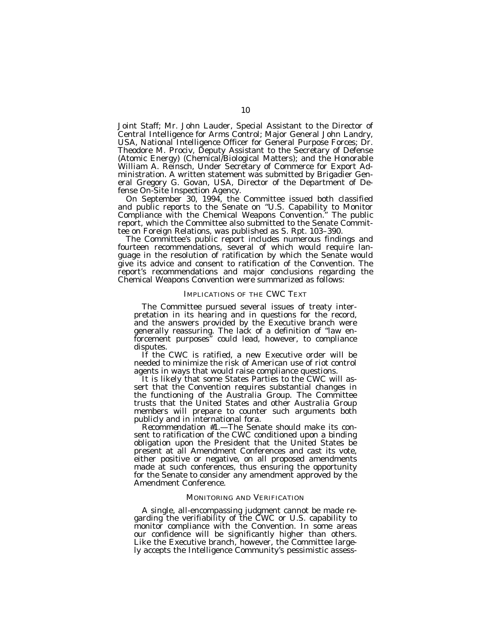Joint Staff; Mr. John Lauder, Special Assistant to the Director of Central Intelligence for Arms Control; Major General John Landry, USA, National Intelligence Officer for General Purpose Forces; Dr. Theodore M. Prociv, Deputy Assistant to the Secretary of Defense (Atomic Energy) (Chemical/Biological Matters); and the Honorable William A. Reinsch, Under Secretary of Commerce for Export Administration. A written statement was submitted by Brigadier General Gregory G. Govan, USA, Director of the Department of Defense On-Site Inspection Agency.

On September 30, 1994, the Committee issued both classified and public reports to the Senate on ''U.S. Capability to Monitor Compliance with the Chemical Weapons Convention.'' The public report, which the Committee also submitted to the Senate Committee on Foreign Relations, was published as S. Rpt. 103–390.

The Committee's public report includes numerous findings and fourteen recommendations, several of which would require language in the resolution of ratification by which the Senate would give its advice and consent to ratification of the Convention. The report's recommendations and major conclusions regarding the Chemical Weapons Convention were summarized as follows:

### IMPLICATIONS OF THE CWC TEXT

The Committee pursued several issues of treaty interpretation in its hearing and in questions for the record, and the answers provided by the Executive branch were generally reassuring. The lack of a definition of ''law enforcement purposes'' could lead, however, to compliance disputes.

If the CWC is ratified, a new Executive order will be needed to minimize the risk of American use of riot control agents in ways that would raise compliance questions.

It is likely that some States Parties to the CWC will assert that the Convention requires substantial changes in the functioning of the Australia Group. The Committee trusts that the United States and other Australia Group members will prepare to counter such arguments both publicly and in international fora.

*Recommendation* #*1.*—The Senate should make its consent to ratification of the CWC conditioned upon a binding obligation upon the President that the United States be present at all Amendment Conferences and cast its vote, either positive or negative, on all proposed amendments made at such conferences, thus ensuring the opportunity for the Senate to consider any amendment approved by the Amendment Conference.

#### MONITORING AND VERIFICATION

A single, all-encompassing judgment cannot be made regarding the verifiability of the CWC or U.S. capability to monitor compliance with the Convention. In some areas our confidence will be significantly higher than others. Like the Executive branch, however, the Committee largely accepts the Intelligence Community's pessimistic assess-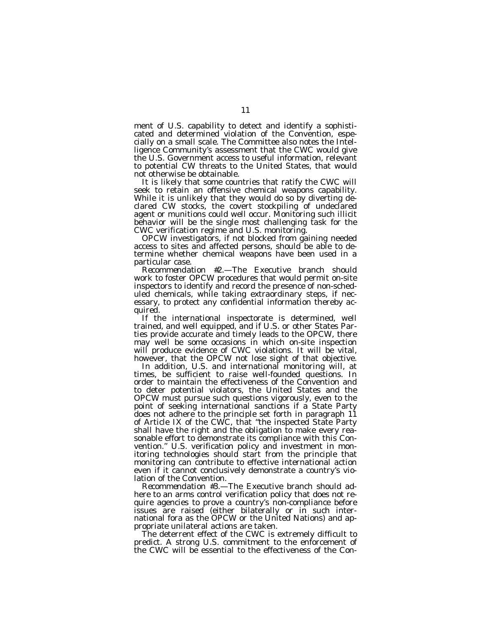ment of U.S. capability to detect and identify a sophisticated and determined violation of the Convention, especially on a small scale. The Committee also notes the Intelligence Community's assessment that the CWC would give the U.S. Government access to useful information, relevant to potential CW threats to the United States, that would not otherwise be obtainable.

It is likely that some countries that ratify the CWC will seek to retain an offensive chemical weapons capability. While it is unlikely that they would do so by diverting declared CW stocks, the covert stockpiling of undeclared agent or munitions could well occur. Monitoring such illicit behavior will be the single most challenging task for the CWC verification regime and U.S. monitoring.

OPCW investigators, if not blocked from gaining needed access to sites and affected persons, should be able to determine whether chemical weapons have been used in a particular case.

*Recommendation* #*2.*—The Executive branch should work to foster OPCW procedures that would permit on-site inspectors to identify and record the presence of non-scheduled chemicals, while taking extraordinary steps, if necessary, to protect any confidential information thereby acquired.

If the international inspectorate is determined, well trained, and well equipped, and if U.S. or other States Parties provide accurate and timely leads to the OPCW, there may well be some occasions in which on-site inspection will produce evidence of CWC violations. It will be vital, however, that the OPCW not lose sight of that objective.

In addition, U.S. and international monitoring will, at times, be sufficient to raise well-founded questions. In order to maintain the effectiveness of the Convention and to deter potential violators, the United States and the OPCW must pursue such questions vigorously, even to the point of seeking international sanctions if a State Party does not adhere to the principle set forth in paragraph 11 of Article IX of the CWC, that ''the inspected State Party shall have the right and the obligation to make every reasonable effort to demonstrate its compliance with this Convention.'' U.S. verification policy and investment in monitoring technologies should start from the principle that monitoring can contribute to effective international action even if it cannot conclusively demonstrate a country's violation of the Convention.

*Recommendation* #*3.*—The Executive branch should adhere to an arms control verification policy that does not require agencies to prove a country's non-compliance before issues are raised (either bilaterally or in such international fora as the OPCW or the United Nations) and appropriate unilateral actions are taken.

The deterrent effect of the CWC is extremely difficult to predict. A strong U.S. commitment to the enforcement of the CWC will be essential to the effectiveness of the Con-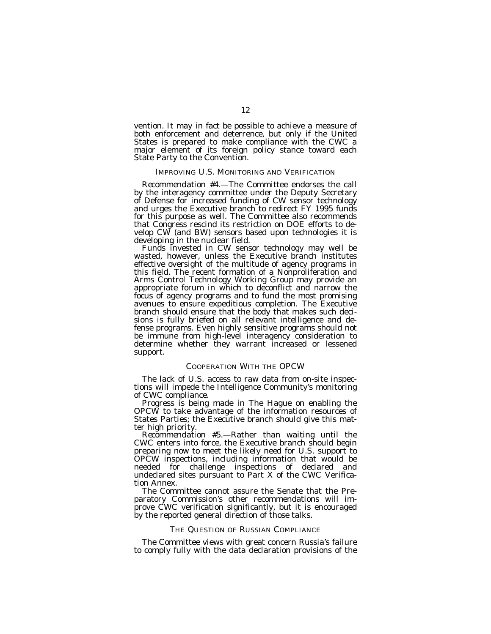vention. It may in fact be possible to achieve a measure of both enforcement and deterrence, but only if the United States is prepared to make compliance with the CWC a major element of its foreign policy stance toward each State Party to the Convention.

### IMPROVING U.S. MONITORING AND VERIFICATION

*Recommendation #4.*—The Committee endorses the call by the interagency committee under the Deputy Secretary of Defense for increased funding of CW sensor technology and urges the Executive branch to redirect FY 1995 funds for this purpose as well. The Committee also recommends that Congress rescind its restriction on DOE efforts to develop CW (and BW) sensors based upon technologies it is

developing in the nuclear field.<br>Funds invested in CW sensor technology may well be<br>wasted, however, unless the Executive branch institutes effective oversight of the multitude of agency programs in this field. The recent formation of a Nonproliferation and Arms Control Technology Working Group may provide an appropriate forum in which to deconflict and narrow the focus of agency programs and to fund the most promising avenues to ensure expeditious completion. The Executive branch should ensure that the body that makes such decisions is fully briefed on all relevant intelligence and defense programs. Even highly sensitive programs should not be immune from high-level interagency consideration to determine whether they warrant increased or lessened support.

### COOPERATION WITH THE OPCW

The lack of U.S. access to raw data from on-site inspections will impede the Intelligence Community's monitoring of CWC compliance.

Progress is being made in The Hague on enabling the OPCW to take advantage of the information resources of States Parties; the Executive branch should give this matter high priority.

*Recommendation #5.*—Rather than waiting until the CWC enters into force, the Executive branch should begin preparing now to meet the likely need for U.S. support to OPCW inspections, including information that would be needed for challenge inspections of declared and undeclared sites pursuant to Part X of the CWC Verification Annex.

The Committee cannot assure the Senate that the Preparatory Commission's other recommendations will improve CWC verification significantly, but it is encouraged by the reported general direction of those talks.

#### THE QUESTION OF RUSSIAN COMPLIANCE

The Committee views with great concern Russia's failure to comply fully with the data declaration provisions of the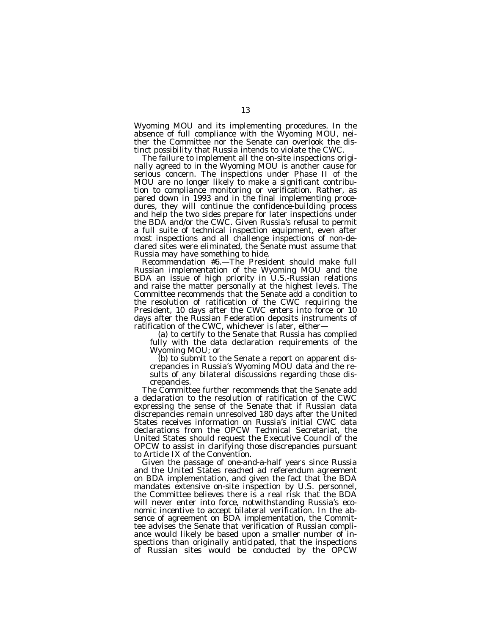Wyoming MOU and its implementing procedures. In the absence of full compliance with the Wyoming MOU, neither the Committee nor the Senate can overlook the distinct possibility that Russia intends to violate the CWC.

The failure to implement all the on-site inspections originally agreed to in the Wyoming MOU is another cause for serious concern. The inspections under Phase II of the MOU are no longer likely to make a significant contribution to compliance monitoring or verification. Rather, as pared down in 1993 and in the final implementing procedures, they will continue the confidence-building process and help the two sides prepare for later inspections under the BDA and/or the CWC. Given Russia's refusal to permit a full suite of technical inspection equipment, even after most inspections and all challenge inspections of non-declared sites were eliminated, the Senate must assume that Russia may have something to hide.

*Recommendation #6.*—The President should make full Russian implementation of the Wyoming MOU and the BDA an issue of high priority in U.S.-Russian relations and raise the matter personally at the highest levels. The Committee recommends that the Senate add a condition to the resolution of ratification of the CWC requiring the President, 10 days after the CWC enters into force or 10 days after the Russian Federation deposits instruments of ratification of the CWC, whichever is later, either—

(a) to certify to the Senate that Russia has complied fully with the data declaration requirements of the Wyoming MOU; or<br>(b) to submit to the Senate a report on apparent dis-

crepancies in Russia's Wyoming MOU data and the results of any bilateral discussions regarding those discrepancies.

The Committee further recommends that the Senate add a declaration to the resolution of ratification of the CWC expressing the sense of the Senate that if Russian data discrepancies remain unresolved 180 days after the United States receives information on Russia's initial CWC data declarations from the OPCW Technical Secretariat, the United States should request the Executive Council of the OPCW to assist in clarifying those discrepancies pursuant to Article IX of the Convention.

Given the passage of one-and-a-half years since Russia and the United States reached ad referendum agreement on BDA implementation, and given the fact that the BDA mandates extensive on-site inspection by U.S. personnel, the Committee believes there is a real risk that the BDA will never enter into force, notwithstanding Russia's economic incentive to accept bilateral verification. In the absence of agreement on BDA implementation, the Committee advises the Senate that verification of Russian compliance would likely be based upon a smaller number of inspections than originally anticipated, that the inspections of Russian sites would be conducted by the OPCW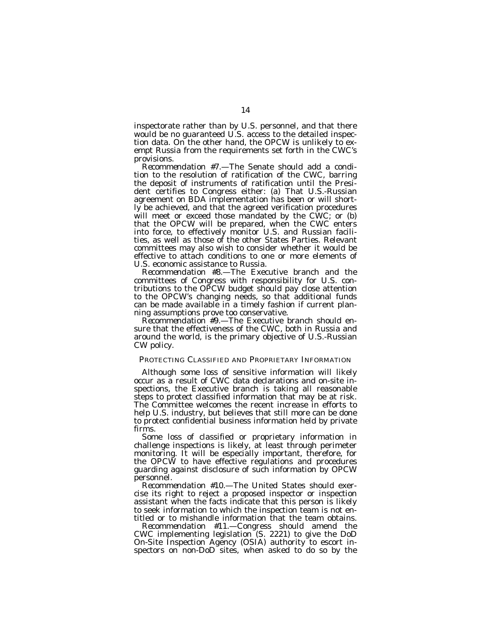inspectorate rather than by U.S. personnel, and that there would be no guaranteed U.S. access to the detailed inspection data. On the other hand, the OPCW is unlikely to exempt Russia from the requirements set forth in the CWC's provisions.

*Recommendation #7.*—The Senate should add a condition to the resolution of ratification of the CWC, barring the deposit of instruments of ratification until the President certifies to Congress either: (a) That U.S.-Russian agreement on BDA implementation has been or will shortly be achieved, and that the agreed verification procedures will meet or exceed those mandated by the CWC; or (b) that the OPCW will be prepared, when the CWC enters into force, to effectively monitor U.S. and Russian facilities, as well as those of the other States Parties. Relevant committees may also wish to consider whether it would be effective to attach conditions to one or more elements of U.S. economic assistance to Russia.

*Recommendation #8.*—The Executive branch and the committees of Congress with responsibility for U.S. contributions to the OPCW budget should pay close attention to the OPCW's changing needs, so that additional funds can be made available in a timely fashion if current planning assumptions prove too conservative.

*Recommendation #9.*—The Executive branch should ensure that the effectiveness of the CWC, both in Russia and around the world, is the primary objective of U.S.-Russian CW policy.

### PROTECTING CLASSIFIED AND PROPRIETARY INFORMATION

Although some loss of sensitive information will likely occur as a result of CWC data declarations and on-site inspections, the Executive branch is taking all reasonable steps to protect classified information that may be at risk. The Committee welcomes the recent increase in efforts to help U.S. industry, but believes that still more can be done to protect confidential business information held by private firms.

Some loss of classified or proprietary information in challenge inspections is likely, at least through perimeter monitoring. It will be especially important, therefore, for the OPCW to have effective regulations and procedures guarding against disclosure of such information by OPCW personnel.

*Recommendation #10.*—The United States should exercise its right to reject a proposed inspector or inspection assistant when the facts indicate that this person is likely to seek information to which the inspection team is not entitled or to mishandle information that the team obtains.

*Recommendation #11.*—Congress should amend the CWC implementing legislation  $(S, 2221)$  to give the DoD On-Site Inspection Agency (OSIA) authority to escort inspectors on non-DoD sites, when asked to do so by the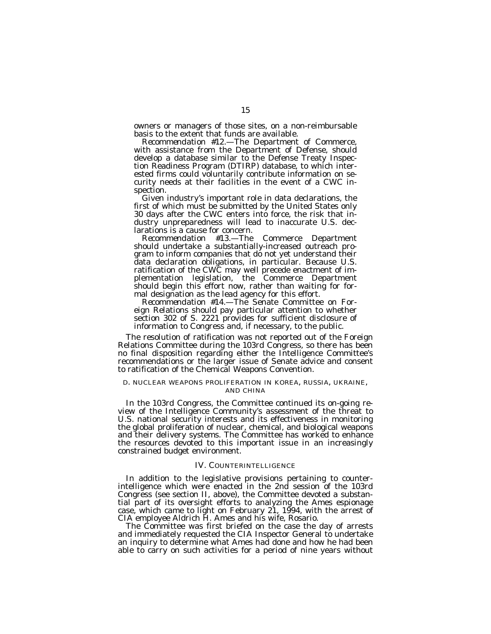owners or managers of those sites, on a non-reimbursable basis to the extent that funds are available.

*Recommendation #12.*—The Department of Commerce, with assistance from the Department of Defense, should develop a database similar to the Defense Treaty Inspection Readiness Program (DTIRP) database, to which interested firms could voluntarily contribute information on security needs at their facilities in the event of a CWC inspection.

Given industry's important role in data declarations, the first of which must be submitted by the United States only 30 days after the CWC enters into force, the risk that industry unpreparedness will lead to inaccurate U.S. declarations is a cause for concern.

*Recommendation #13.*—The Commerce Department should undertake a substantially-increased outreach program to inform companies that do not yet understand their data declaration obligations, in particular. Because U.S. ratification of the CWC may well precede enactment of implementation legislation, the Commerce Department should begin this effort now, rather than waiting for formal designation as the lead agency for this effort.

*Recommendation #14.*—The Senate Committee on Foreign Relations should pay particular attention to whether section 302 of S. 2221 provides for sufficient disclosure of information to Congress and, if necessary, to the public.

The resolution of ratification was not reported out of the Foreign Relations Committee during the 103rd Congress, so there has been no final disposition regarding either the Intelligence Committee's recommendations or the larger issue of Senate advice and consent to ratification of the Chemical Weapons Convention.

### D. NUCLEAR WEAPONS PROLIFERATION IN KOREA, RUSSIA, UKRAINE, AND CHINA

In the 103rd Congress, the Committee continued its on-going review of the Intelligence Community's assessment of the threat to U.S. national security interests and its effectiveness in monitoring the global proliferation of nuclear, chemical, and biological weapons and their delivery systems. The Committee has worked to enhance the resources devoted to this important issue in an increasingly constrained budget environment.

### IV. COUNTERINTELLIGENCE

In addition to the legislative provisions pertaining to counterintelligence which were enacted in the 2nd session of the 103rd Congress (see section II, above), the Committee devoted a substantial part of its oversight efforts to analyzing the Ames espionage case, which came to light on February 21, 1994, with the arrest of CIA employee Aldrich H. Ames and his wife, Rosario.

The Committee was first briefed on the case the day of arrests and immediately requested the CIA Inspector General to undertake an inquiry to determine what Ames had done and how he had been able to carry on such activities for a period of nine years without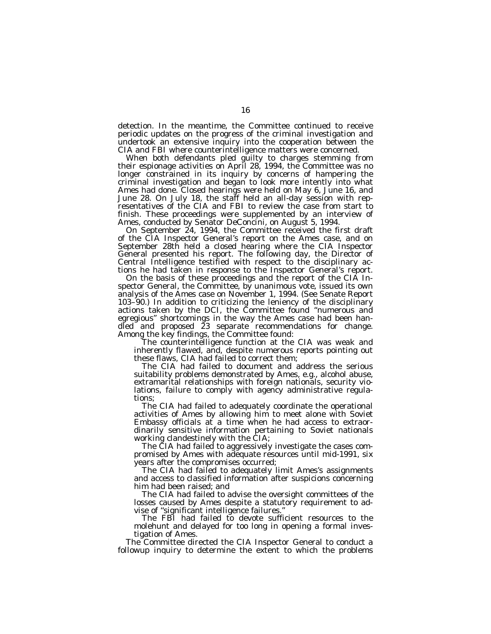detection. In the meantime, the Committee continued to receive periodic updates on the progress of the criminal investigation and undertook an extensive inquiry into the cooperation between the CIA and FBI where counterintelligence matters were concerned.

When both defendants pled guilty to charges stemming from their espionage activities on April 28, 1994, the Committee was no longer constrained in its inquiry by concerns of hampering the criminal investigation and began to look more intently into what Ames had done. Closed hearings were held on May 6, June 16, and June 28. On July 18, the staff held an all-day session with representatives of the CIA and FBI to review the case from start to finish. These proceedings were supplemented by an interview of Ames, conducted by Senator DeConcini, on August 5, 1994.

On September 24, 1994, the Committee received the first draft of the CIA Inspector General's report on the Ames case, and on September 28th held a closed hearing where the CIA Inspector General presented his report. The following day, the Director of Central Intelligence testified with respect to the disciplinary actions he had taken in response to the Inspector General's report.

On the basis of these proceedings and the report of the CIA Inspector General, the Committee, by unanimous vote, issued its own analysis of the Ames case on November 1, 1994. (See Senate Report 103–90.) In addition to criticizing the leniency of the disciplinary actions taken by the DCI, the Committee found ''numerous and egregious'' shortcomings in the way the Ames case had been handled and proposed 23 separate recommendations for change. Among the key findings, the Committee found:

The counterintelligence function at the CIA was weak and inherently flawed, and, despite numerous reports pointing out these flaws, CIA had failed to correct them;

The CIA had failed to document and address the serious suitability problems demonstrated by Ames, e.g., alcohol abuse, extramarital relationships with foreign nationals, security violations, failure to comply with agency administrative regulations;

The CIA had failed to adequately coordinate the operational activities of Ames by allowing him to meet alone with Soviet Embassy officials at a time when he had access to extraordinarily sensitive information pertaining to Soviet nationals working clandestinely with the CIA;

The CIA had failed to aggressively investigate the cases compromised by Ames with adequate resources until mid-1991, six years after the compromises occurred;

The CIA had failed to adequately limit Ames's assignments and access to classified information after suspicions concerning him had been raised; and

The CIA had failed to advise the oversight committees of the losses caused by Ames despite a statutory requirement to advise of ''significant intelligence failures.''

The FBI had failed to devote sufficient resources to the molehunt and delayed for too long in opening a formal investigation of Ames.

The Committee directed the CIA Inspector General to conduct a followup inquiry to determine the extent to which the problems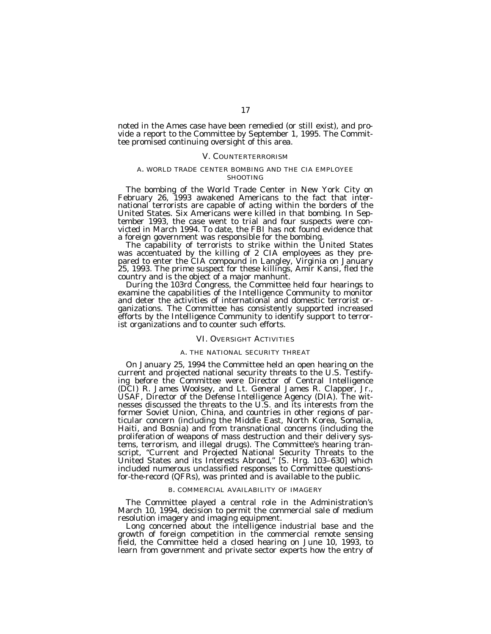noted in the Ames case have been remedied (or still exist), and provide a report to the Committee by September 1, 1995. The Committee promised continuing oversight of this area.

#### V. COUNTERTERRORISM

### A. WORLD TRADE CENTER BOMBING AND THE CIA EMPLOYEE **SHOOTING**

The bombing of the World Trade Center in New York City on February 26, 1993 awakened Americans to the fact that international terrorists are capable of acting within the borders of the United States. Six Americans were killed in that bombing. In September 1993, the case went to trial and four suspects were convicted in March 1994. To date, the FBI has not found evidence that

a foreign government was responsible for the bombing. The capability of terrorists to strike within the United States was accentuated by the killing of 2 CIA employees as they prepared to enter the CIA compound in Langley, Virginia on January 25, 1993. The prime suspect for these killings, Amir Kansi, fled the

During the 103rd Congress, the Committee held four hearings to examine the capabilities of the Intelligence Community to monitor and deter the activities of international and domestic terrorist organizations. The Committee has consistently supported increased efforts by the Intelligence Community to identify support to terrorist organizations and to counter such efforts.

#### VI. OVERSIGHT ACTIVITIES

#### A. THE NATIONAL SECURITY THREAT

On January 25, 1994 the Committee held an open hearing on the current and projected national security threats to the U.S. Testifying before the Committee were Director of Central Intelligence (DCI) R. James Woolsey, and Lt. General James R. Clapper, Jr., USAF, Director of the Defense Intelligence Agency (DIA). The witnesses discussed the threats to the U.S. and its interests from the former Soviet Union, China, and countries in other regions of particular concern (including the Middle East, North Korea, Somalia, Haiti, and Bosnia) and from transnational concerns (including the proliferation of weapons of mass destruction and their delivery systems, terrorism, and illegal drugs). The Committee's hearing transcript, ''Current and Projected National Security Threats to the United States and its Interests Abroad,'' [S. Hrg. 103–630] which included numerous unclassified responses to Committee questionsfor-the-record (QFRs), was printed and is available to the public.

#### B. COMMERCIAL AVAILABILITY OF IMAGERY

The Committee played a central role in the Administration's March 10, 1994, decision to permit the commercial sale of medium resolution imagery and imaging equipment.

Long concerned about the intelligence industrial base and the growth of foreign competition in the commercial remote sensing field, the Committee held a closed hearing on June 10, 1993, to learn from government and private sector experts how the entry of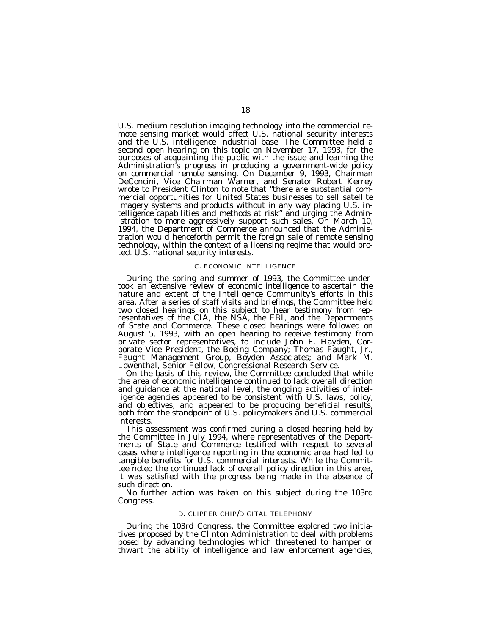U.S. medium resolution imaging technology into the commercial remote sensing market would affect U.S. national security interests and the U.S. intelligence industrial base. The Committee held a second open hearing on this topic on November 17, 1993, for the purposes of acquainting the public with the issue and learning the Administration's progress in producing a government-wide policy on commercial remote sensing. On December 9, 1993, Chairman DeConcini, Vice Chairman Warner, and Senator Robert Kerrey wrote to President Clinton to note that ''there are substantial commercial opportunities for United States businesses to sell satellite imagery systems and products without in any way placing U.S. intelligence capabilities and methods at risk'' and urging the Administration to more aggressively support such sales. On March 10, 1994, the Department of Commerce announced that the Administration would henceforth permit the foreign sale of remote sensing technology, within the context of a licensing regime that would protect U.S. national security interests.

#### C. ECONOMIC INTELLIGENCE

During the spring and summer of 1993, the Committee under- took an extensive review of economic intelligence to ascertain the nature and extent of the Intelligence Community's efforts in this area. After a series of staff visits and briefings, the Committee held two closed hearings on this subject to hear testimony from representatives of the CIA, the NSA, the FBI, and the Departments of State and Commerce. These closed hearings were followed on August 5, 1993, with an open hearing to receive testimony from private sector representatives, to include John F. Hayden, Corporate Vice President, the Boeing Company; Thomas Faught, Jr., Faught Management Group, Boyden Associates; and Mark M.<br>Lowenthal, Senior Fellow, Congressional Research Service.

On the basis of this review, the Committee concluded that while the area of economic intelligence continued to lack overall direction and guidance at the national level, the ongoing activities of intelligence agencies appeared to be consistent with U.S. laws, policy, and objectives, and appeared to be producing beneficial results, both from the standpoint of U.S. policymakers and U.S. commercial interests.<br>This assessment was confirmed during a closed hearing held by

the Committee in July 1994, where representatives of the Departments of State and Commerce testified with respect to several cases where intelligence reporting in the economic area had led to tangible benefits for U.S. commercial interests. While the Committee noted the continued lack of overall policy direction in this area, it was satisfied with the progress being made in the absence of such direction.

No further action was taken on this subject during the 103rd Congress.

### D. CLIPPER CHIP/DIGITAL TELEPHONY

During the 103rd Congress, the Committee explored two initiatives proposed by the Clinton Administration to deal with problems posed by advancing technologies which threatened to hamper or thwart the ability of intelligence and law enforcement agencies,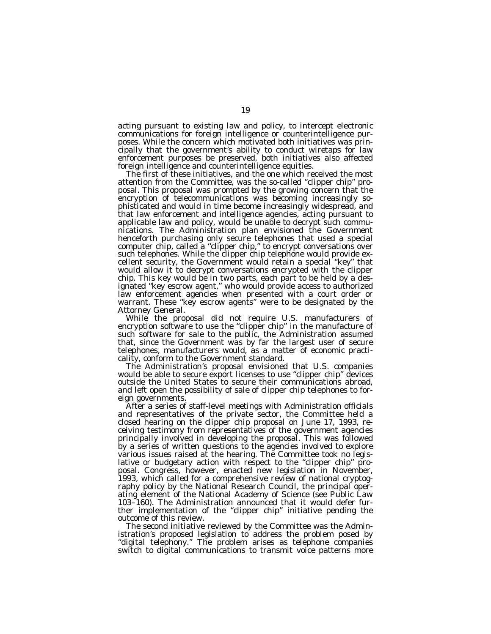acting pursuant to existing law and policy, to intercept electronic communications for foreign intelligence or counterintelligence purposes. While the concern which motivated both initiatives was principally that the government's ability to conduct wiretaps for law enforcement purposes be preserved, both initiatives also affected foreign intelligence and counterintelligence equities.

The first of these initiatives, and the one which received the most attention from the Committee, was the so-called ''clipper chip'' proposal. This proposal was prompted by the growing concern that the encryption of telecommunications was becoming increasingly sophisticated and would in time become increasingly widespread, and that law enforcement and intelligence agencies, acting pursuant to applicable law and policy, would be unable to decrypt such communications. The Administration plan envisioned the Government henceforth purchasing only secure telephones that used a special computer chip, called a ''clipper chip,'' to encrypt conversations over such telephones. While the clipper chip telephone would provide excellent security, the Government would retain a special ''key'' that would allow it to decrypt conversations encrypted with the clipper chip. This key would be in two parts, each part to be held by a designated ''key escrow agent,'' who would provide access to authorized law enforcement agencies when presented with a court order or warrant. These ''key escrow agents'' were to be designated by the Attorney General.

While the proposal did not require U.S. manufacturers of encryption software to use the ''clipper chip'' in the manufacture of such software for sale to the public, the Administration assumed that, since the Government was by far the largest user of secure telephones, manufacturers would, as a matter of economic practicality, conform to the Government standard.

The Administration's proposal envisioned that U.S. companies would be able to secure export licenses to use ''clipper chip'' devices outside the United States to secure their communications abroad, and left open the possibility of sale of clipper chip telephones to foreign governments.

After a series of staff-level meetings with Administration officials and representatives of the private sector, the Committee held a closed hearing on the clipper chip proposal on June 17, 1993, receiving testimony from representatives of the government agencies principally involved in developing the proposal. This was followed by a series of written questions to the agencies involved to explore various issues raised at the hearing. The Committee took no legislative or budgetary action with respect to the "clipper chip" proposal. Congress, however, enacted new legislation in November, 1993, which called for a comprehensive review of national cryptography policy by the National Research Council, the principal operating element of the National Academy of Science (see Public Law 103–160). The Administration announced that it would defer further implementation of the ''clipper chip'' initiative pending the outcome of this review.

The second initiative reviewed by the Committee was the Administration's proposed legislation to address the problem posed by ''digital telephony.'' The problem arises as telephone companies switch to digital communications to transmit voice patterns more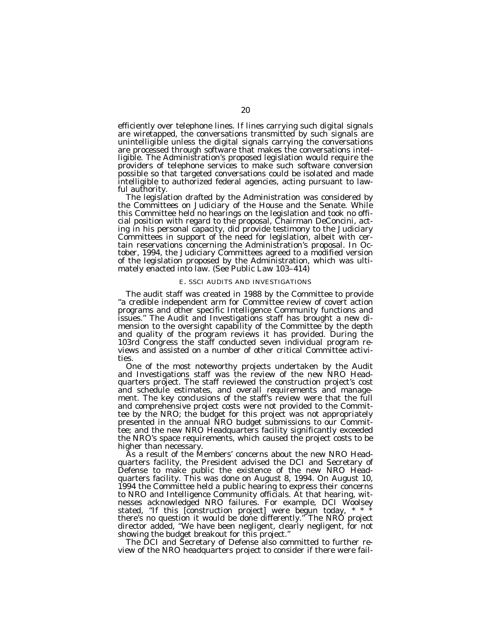efficiently over telephone lines. If lines carrying such digital signals are wiretapped, the conversations transmitted by such signals are unintelligible unless the digital signals carrying the conversations are processed through software that makes the conversations intelligible. The Administration's proposed legislation would require the providers of telephone services to make such software conversion possible so that targeted conversations could be isolated and made intelligible to authorized federal agencies, acting pursuant to law-

ful authority. The legislation drafted by the Administration was considered by the Committees on Judiciary of the House and the Senate. While this Committee held no hearings on the legislation and took no official position with regard to the proposal, Chairman DeConcini, acting in his personal capacity, did provide testimony to the Judiciary Committees in support of the need for legislation, albeit with certain reservations concerning the Administration's proposal. In October, 1994, the Judiciary Committees agreed to a modified version of the legislation proposed by the Administration, which was ultimately enacted into law. (See Public Law 103-414)

### E. SSCI AUDITS AND INVESTIGATIONS

The audit staff was created in 1988 by the Committee to provide ''a credible independent arm for Committee review of covert action programs and other specific Intelligence Community functions and issues.'' The Audit and Investigations staff has brought a new dimension to the oversight capability of the Committee by the depth and quality of the program reviews it has provided. During the 103rd Congress the staff conducted seven individual program reviews and assisted on a number of other critical Committee activities.

One of the most noteworthy projects undertaken by the Audit and Investigations staff was the review of the new NRO Headquarters project. The staff reviewed the construction project's cost and schedule estimates, and overall requirements and management. The key conclusions of the staff's review were that the full and comprehensive project costs were not provided to the Committee by the NRO; the budget for this project was not appropriately presented in the annual NRO budget submissions to our Committee; and the new NRO Headquarters facility significantly exceeded the NRO's space requirements, which caused the project costs to be higher than necessary.

As a result of the Members' concerns about the new NRO Headquarters facility, the President advised the DCI and Secretary of Defense to make public the existence of the new NRO Headquarters facility. This was done on August 8, 1994. On August 10, 1994 the Committee held a public hearing to express their concerns to NRO and Intelligence Community officials. At that hearing, witnesses acknowledged NRO failures. For example, DCI Woolsey stated, ''If this [construction project] were begun today, \* \* \* there's no question it would be done differently.'' The NRO project director added, ''We have been negligent, clearly negligent, for not showing the budget breakout for this project.''

The DCI and Secretary of Defense also committed to further review of the NRO headquarters project to consider if there were fail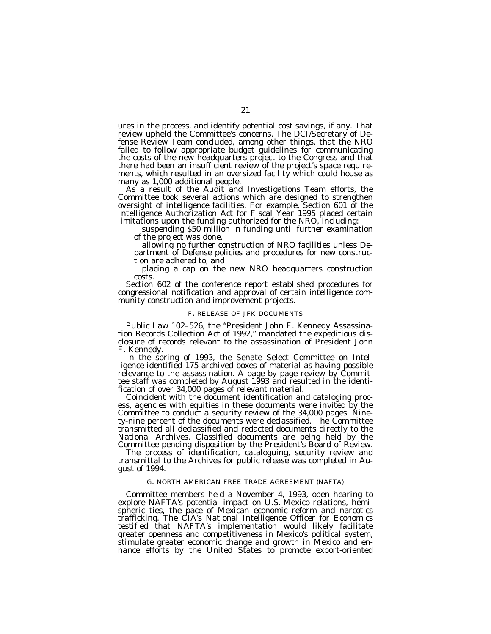ures in the process, and identify potential cost savings, if any. That review upheld the Committee's concerns. The DCI/Secretary of Defense Review Team concluded, among other things, that the NRO failed to follow appropriate budget guidelines for communicating the costs of the new headquarters project to the Congress and that there had been an insufficient review of the project's space requirements, which resulted in an oversized facility which could house as many as 1,000 additional people.

As a result of the Audit and Investigations Team efforts, the Committee took several actions which are designed to strengthen oversight of intelligence facilities. For example, Section 601 of the Intelligence Authorization Act for Fiscal Year 1995 placed certain

limitations upon the funding authorized for the NRO, including:<br>suspending \$50 million in funding until further examination<br>of the project was done,<br>allowing no further construction of NRO facilities unless De-<br>partment of

tion are adhered to, and

placing a cap on the new NRO headquarters construction costs.

Section 602 of the conference report established procedures for congressional notification and approval of certain intelligence community construction and improvement projects.

### F. RELEASE OF JFK DOCUMENTS

Public Law 102–526, the "President John F. Kennedy Assassination Records Collection Act of 1992," mandated the expeditious disclosure of records relevant to the assassination of President John

F. Kennedy. In the spring of 1993, the Senate Select Committee on Intel- ligence identified 175 archived boxes of material as having possible relevance to the assassination. A page by page review by Committee staff was completed by August 1993 and resulted in the identi-

fication and cataloging process, agencies with equities in these documents were invited by the Committee to conduct a security review of the 34,000 pages. Ninety-nine percent of the documents were declassified. The Committee transmitted all declassified and redacted documents directly to the National Archives. Classified documents are being held by the

The process of identification, cataloguing, security review and transmittal to the Archives for public release was completed in August of 1994.

#### G. NORTH AMERICAN FREE TRADE AGREEMENT (NAFTA)

Committee members held a November 4, 1993, open hearing to explore NAFTA's potential impact on U.S.-Mexico relations, hemispheric ties, the pace of Mexican economic reform and narcotics trafficking. The CIA's National Intelligence Officer for Economics testified that NAFTA's implementation would likely facilitate greater openness and competitiveness in Mexico's political system, stimulate greater economic change and growth in Mexico and enhance efforts by the United States to promote export-oriented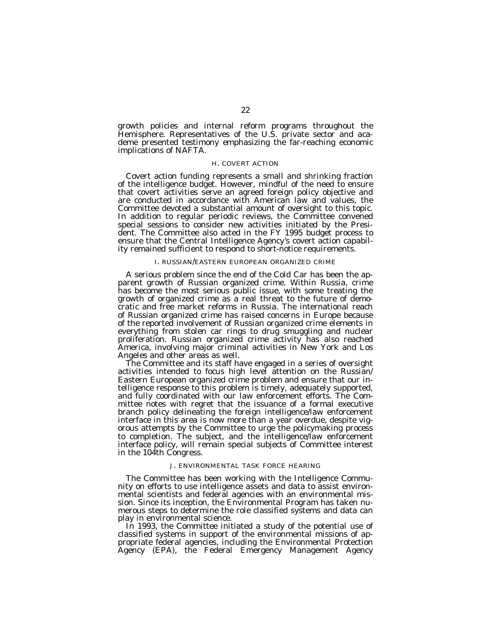growth policies and internal reform programs throughout the Hemisphere. Representatives of the U.S. private sector and academe presented testimony emphasizing the far-reaching economic implications of NAFTA.

#### H. COVERT ACTION

Covert action funding represents a small and shrinking fraction of the intelligence budget. However, mindful of the need to ensure that covert activities serve an agreed foreign policy objective and are conducted in accordance with American law and values, the Committee devoted a substantial amount of oversight to this topic. In addition to regular periodic reviews, the Committee convened special sessions to consider new activities initiated by the President. The Committee also acted in the FY 1995 budget process to ensure that the Central Intelligence Agency's covert action capability remained sufficient to respond to short-notice requirements.

#### I. RUSSIAN/EASTERN EUROPEAN ORGANIZED CRIME

A serious problem since the end of the Cold Car has been the apparent growth of Russian organized crime. Within Russia, crime has become the most serious public issue, with some treating the growth of organized crime as a real threat to the future of democratic and free market reforms in Russia. The international reach of Russian organized crime has raised concerns in Europe because of the reported involvement of Russian organized crime elements in everything from stolen car rings to drug smuggling and nuclear proliferation. Russian organized crime activity has also reached America, involving major criminal activities in New York and Los Angeles and other areas as well.

The Committee and its staff have engaged in a series of oversight activities intended to focus high level attention on the Russian/ Eastern European organized crime problem and ensure that our intelligence response to this problem is timely, adequately supported, and fully coordinated with our law enforcement efforts. The Committee notes with regret that the issuance of a formal executive branch policy delineating the foreign intelligence/law enforcement interface in this area is now more than a year overdue, despite vigorous attempts by the Committee to urge the policymaking process to completion. The subject, and the intelligence/law enforcement interface policy, will remain special subjects of Committee interest in the 104th Congress.

### J. ENVIRONMENTAL TASK FORCE HEARING

The Committee has been working with the Intelligence Community on efforts to use intelligence assets and data to assist environmental scientists and federal agencies with an environmental mission. Since its inception, the Environmental Program has taken numerous steps to determine the role classified systems and data can play in environmental science.

In 1993, the Committee initiated a study of the potential use of classified systems in support of the environmental missions of appropriate federal agencies, including the Environmental Protection Agency (EPA), the Federal Emergency Management Agency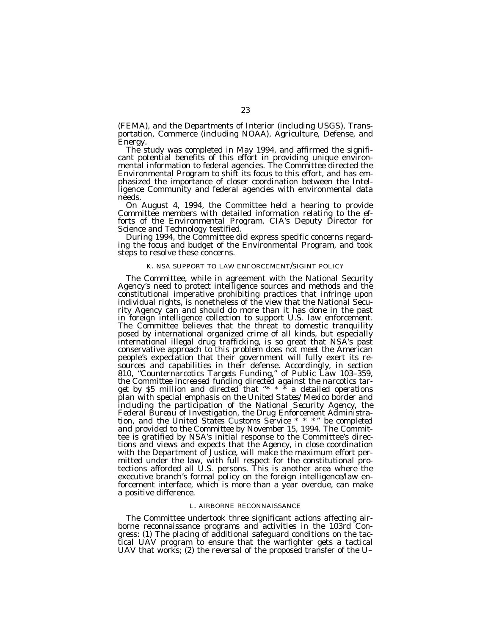(FEMA), and the Departments of Interior (including USGS), Transportation, Commerce (including NOAA), Agriculture, Defense, and

The study was completed in May 1994, and affirmed the significant potential benefits of this effort in providing unique environmental information to federal agencies. The Committee directed the Environmental Program to shift its focus to this effort, and has emphasized the importance of closer coordination between the Intelligence Community and federal agencies with environmental data needs.

On August 4, 1994, the Committee held a hearing to provide Committee members with detailed information relating to the efforts of the Environmental Program. CIA's Deputy Director for

Science and Technology testified.<br>During 1994, the Committee did express specific concerns regard-<br>ing the focus and budget of the Environmental Program, and took steps to resolve these concerns.

#### K. NSA SUPPORT TO LAW ENFORCEMENT/SIGINT POLICY

The Committee, while in agreement with the National Security Agency's need to protect intelligence sources and methods and the constitutional imperative prohibiting practices that infringe upon individual rights, is nonetheless of the view that the National Security Agency can and should do more than it has done in the past in foreign intelligence collection to support U.S. law enforcement. The Committee believes that the threat to domestic tranquility posed by international organized crime of all kinds, but especially international illegal drug trafficking, is so great that NSA's past conservative approach to this problem does not meet the American people's expectation that their government will fully exert its resources and capabilities in their defense. Accordingly, in section 810, "Counternarcotics Targets Funding," of Public Law 103-359, *the Committee increased funding directed against the narcotics target by \$5 million and directed that ''\* \* \* a detailed operations plan with special emphasis on the United States/Mexico border and including the participation of the National Security Agency, the Federal Bureau of Investigation, the Drug Enforcement Administration, and the United States Customs Service \* \* \* '' be completed and provided to the Committee by November 15, 1994.* The Committee is gratified by NSA's initial response to the Committee's directions and views and expects that the Agency, in close coordination with the Department of Justice, will make the maximum effort permitted under the law, with full respect for the constitutional protections afforded all U.S. persons. This is another area where the executive branch's formal policy on the foreign intelligence/law enforcement interface, which is more than a year overdue, can make a positive difference.

#### L. AIRBORNE RECONNAISSANCE

The Committee undertook three significant actions affecting airborne reconnaissance programs and activities in the 103rd Congress: (1) The placing of additional safeguard conditions on the tactical UAV program to ensure that the warfighter gets a tactical UAV that works; (2) the reversal of the proposed transfer of the U–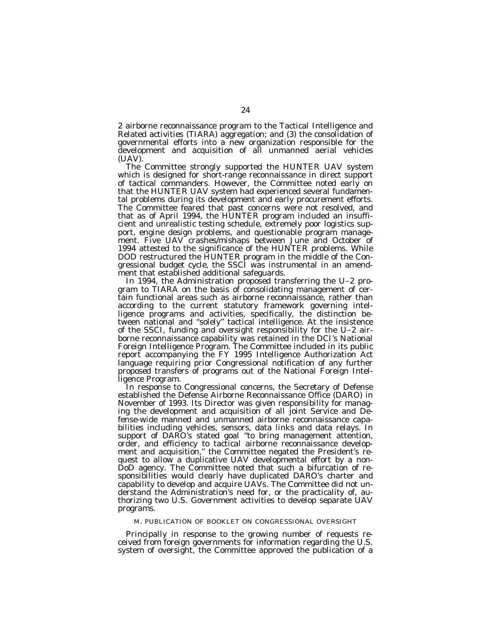2 airborne reconnaissance program to the Tactical Intelligence and Related activities (TIARA) aggregation; and (3) the consolidation of governmental efforts into a new organization responsible for the development and acquisition of all unmanned aerial vehicles (UAV).

The Committee strongly supported the HUNTER UAV system which is designed for short-range reconnaissance in direct support of tactical commanders. However, the Committee noted early on that the HUNTER UAV system had experienced several fundamental problems during its development and early procurement efforts. The Committee feared that past concerns were not resolved, and that as of April 1994, the HUNTER program included an insufficient and unrealistic testing schedule, extremely poor logistics support, engine design problems, and questionable program management. Five UAV crashes/mishaps between June and October of 1994 attested to the significance of the HUNTER problems. While DOD restructured the HUNTER program in the middle of the Congressional budget cycle, the SSCI was instrumental in an amendment that established additional safeguards.

In 1994, the Administration proposed transferring the U–2 program to TIARA on the basis of consolidating management of certain functional areas such as airborne reconnaissance, rather than according to the current statutory framework governing intelligence programs and activities, specifically, the distinction between national and ''solely'' tactical intelligence. At the insistence of the SSCI, funding and oversight responsibility for the U–2 airborne reconnaissance capability was retained in the DCI's National Foreign Intelligence Program. The Committee included in its public report accompanying the FY 1995 Intelligence Authorization Act language requiring prior Congressional notification of any further proposed transfers of programs out of the National Foreign Intelligence Program.

In response to Congressional concerns, the Secretary of Defense established the Defense Airborne Reconnaissance Office (DARO) in November of 1993. Its Director was given responsibility for managing the development and acquisition of all joint Service and Defense-wide manned and unmanned airborne reconnaissance capabilities including vehicles, sensors, data links and data relays. In support of DARO's stated goal ''to bring management attention, order, and efficiency to tactical airborne reconnaissance development and acquisition,'' the Committee negated the President's request to allow a duplicative UAV developmental effort by a non-DoD agency. The Committee noted that such a bifurcation of responsibilities would clearly have duplicated DARO's charter and capability to develop and acquire UAVs. The Committee did not understand the Administration's need for, or the practicality of, authorizing two U.S. Government activities to develop separate UAV programs.

#### M. PUBLICATION OF BOOKLET ON CONGRESSIONAL OVERSIGHT

Principally in response to the growing number of requests received from foreign governments for information regarding the U.S. system of oversight, the Committee approved the publication of a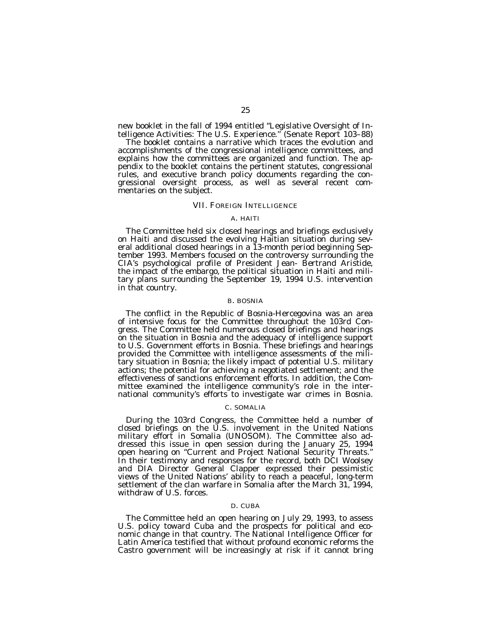new booklet in the fall of 1994 entitled ''Legislative Oversight of Intelligence Activities: The U.S. Experience.'' (Senate Report 103–88)

The booklet contains a narrative which traces the evolution and accomplishments of the congressional intelligence committees, and explains how the committees are organized and function. The appendix to the booklet contains the pertinent statutes, congressional rules, and executive branch policy documents regarding the congressional oversight process, as well as several recent commentaries on the subject.

#### VII. FOREIGN INTELLIGENCE

#### A. HAITI

The Committee held six closed hearings and briefings exclusively on Haiti and discussed the evolving Haitian situation during several additional closed hearings in a 13-month period beginning September 1993. Members focused on the controversy surrounding the CIA's psychological profile of President Jean- Bertrand Aristide, the impact of the embargo, the political situation in Haiti and military plans surrounding the September 19, 1994 U.S. intervention in that country.

### B. BOSNIA

The conflict in the Republic of Bosnia-Hercegovina was an area of intensive focus for the Committee throughout the 103rd Congress. The Committee held numerous closed briefings and hearings on the situation in Bosnia and the adequacy of intelligence support to U.S. Government efforts in Bosnia. These briefings and hearings provided the Committee with intelligence assessments of the military situation in Bosnia; the likely impact of potential U.S. military actions; the potential for achieving a negotiated settlement; and the effectiveness of sanctions enforcement efforts. In addition, the Committee examined the intelligence community's role in the international community's efforts to investigate war crimes in Bosnia.

#### C. SOMALIA

During the 103rd Congress, the Committee held a number of closed briefings on the U.S. involvement in the United Nations military effort in Somalia (UNOSOM). The Committee also addressed this issue in open session during the January 25, 1994 open hearing on ''Current and Project National Security Threats.'' In their testimony and responses for the record, both DCI Woolsey and DIA Director General Clapper expressed their pessimistic views of the United Nations' ability to reach a peaceful, long-term settlement of the clan warfare in Somalia after the March 31, 1994, withdraw of U.S. forces.

### D. CUBA

The Committee held an open hearing on July 29, 1993, to assess U.S. policy toward Cuba and the prospects for political and economic change in that country. The National Intelligence Officer for Latin America testified that without profound economic reforms the Castro government will be increasingly at risk if it cannot bring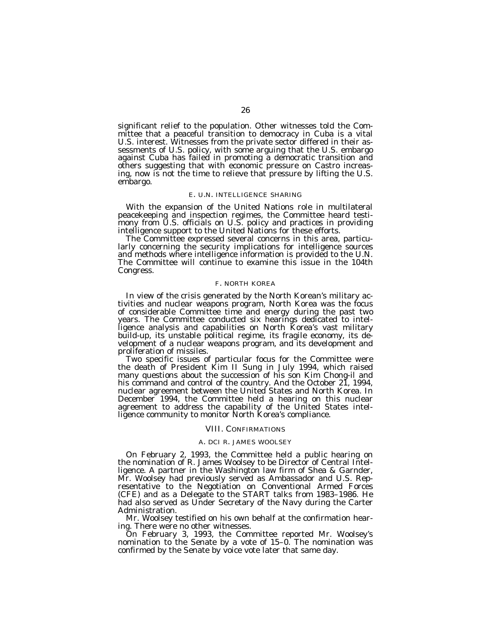significant relief to the population. Other witnesses told the Committee that a peaceful transition to democracy in Cuba is a vital U.S. interest. Witnesses from the private sector differed in their assessments of U.S. policy, with some arguing that the U.S. embargo against Cuba has failed in promoting a democratic transition and others suggesting that with economic pressure on Castro increasing, now is not the time to relieve that pressure by lifting the U.S. embargo.

#### E. U.N. INTELLIGENCE SHARING

With the expansion of the United Nations role in multilateral peacekeeping and inspection regimes, the Committee heard testimony from U.S. officials on U.S. policy and practices in providing

intelligence support to the United Nations for these efforts. The Committee expressed several concerns in this area, particularly concerning the security implications for intelligence sources and methods where intelligence information is provided to the U.N. The Committee will continue to examine this issue in the 104th Congress.

#### F. NORTH KOREA

In view of the crisis generated by the North Korean's military ac- tivities and nuclear weapons program, North Korea was the focus of considerable Committee time and energy during the past two years. The Committee conducted six hearings dedicated to intelligence analysis and capabilities on North Korea's vast military build-up, its unstable political regime, its fragile economy, its development of a nuclear weapons program, and its development and proliferation of missiles.

Two specific issues of particular focus for the Committee were the death of President Kim II Sung in July 1994, which raised many questions about the succession of his son Kim Chong-il and his command and control of the country. And the October 21, 1994, nuclear agreement between the United States and North Korea. In December 1994, the Committee held a hearing on this nuclear agreement to address the capability of the United States intelligence community to monitor North Korea's compliance.

#### VIII. CONFIRMATIONS

#### A. DCI R. JAMES WOOLSEY

On February 2, 1993, the Committee held a public hearing on the nomination of R. James Woolsey to be Director of Central Intelligence. A partner in the Washington law firm of Shea & Garnder, Mr. Woolsey had previously served as Ambassador and U.S. Representative to the Negotiation on Conventional Armed Forces (CFE) and as a Delegate to the START talks from 1983–1986. He had also served as Under Secretary of the Navy during the Carter Administration.

Mr. Woolsey testified on his own behalf at the confirmation hearing. There were no other witnesses.

On February 3, 1993, the Committee reported Mr. Woolsey's nomination to the Senate by a vote of 15–0. The nomination was confirmed by the Senate by voice vote later that same day.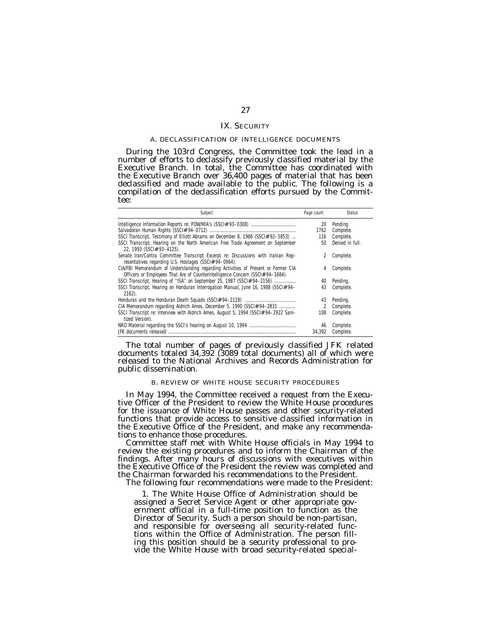### IX. SECURITY

#### A. DECLASSIFICATION OF INTELLIGENCE DOCUMENTS

During the 103rd Congress, the Committee took the lead in a number of efforts to declassify previously classified material by the Executive Branch. In total, the Committee has coordinated with the Executive Branch over 36,400 pages of material that has been declassified and made available to the public. The following is a compilation of the declassification efforts pursued by the Committee:

| Subject                                                                                                                                                             | Page count     | <b>Status</b>   |
|---------------------------------------------------------------------------------------------------------------------------------------------------------------------|----------------|-----------------|
|                                                                                                                                                                     | 20             | Pending.        |
|                                                                                                                                                                     | 1762           | Complete.       |
| SSCI Transcript, Testimony of Elliott Abrams on December 8, 1986 (SSCI# 92-5853)                                                                                    | 116            | Complete.       |
| SSCI Transcript, Hearing on the North American Free Trade Agreement on September<br>22, 1993 (SSCI# 93-4125).                                                       | 50             | Denied in full. |
| Senate Iran/Contra Committee Transcript Excerpt re: Discussions with Iranian Rep-<br>resentatives regarding U.S. Hostages (SSCI# 94-0964).                          |                | Complete.       |
| CIA/FBI Memorandum of Understanding regarding Activities of Present or Former CIA<br>Officers or Employees That Are of Counterintelligence Concern (SSCI# 94-1684). | 4              | Complete.       |
| SSCI Transcript, Hearing of "ISA" on September 25, 1987 (SSCI# 94-2156)                                                                                             | 40             | Pending.        |
| SSCI Transcript, Hearing on Honduran Interrogation Manual, June 16, 1988 (SSCI# 94-<br>$2162$ ).                                                                    | 43             | Complete.       |
|                                                                                                                                                                     | 43             | Pending.        |
| CIA Memorandum regarding Aldrich Ames, December 5, 1990 (SSCI# 94-2831                                                                                              | $\mathfrak{D}$ | Complete.       |
| SSCI Transcript re: Interview with Aldrich Ames, August 5, 1994 (SSCI# 94-2922 Sani-<br>tized Version).                                                             | 108            | Complete.       |
|                                                                                                                                                                     | 46             | Complete.       |
|                                                                                                                                                                     | 34.392         | Complete.       |

The total number of pages of previously classified JFK related documents totaled 34,392 (3089 total documents) all of which were released to the National Archives and Records Administration for public dissemination.

### B. REVIEW OF WHITE HOUSE SECURITY PROCEDURES

In May 1994, the Committee received a request from the Executive Officer of the President to review the White House procedures for the issuance of White House passes and other security-related functions that provide access to sensitive classified information in the Executive Office of the President, and make any recommendations to enhance those procedures.

Committee staff met with White House officials in May 1994 to review the existing procedures and to inform the Chairman of the findings. After many hours of discussions with executives within the Executive Office of the President the review was completed and the Chairman forwarded his recommendations to the President.

The following four recommendations were made to the President:

1. The White House Office of Administration should be assigned a Secret Service Agent or other appropriate government official in a full-time position to function as the Director of Security. Such a person should be non-partisan, and responsible for overseeing all security-related functions within the Office of Administration. The person filling this position should be a security professional to provide the White House with broad security-related special-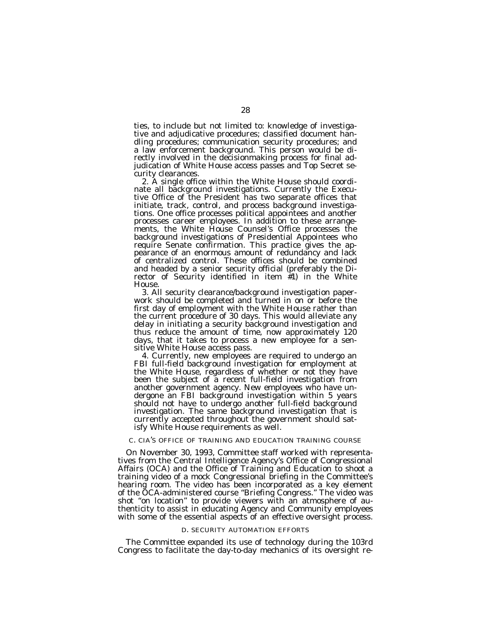ties, to include but not limited to: knowledge of investigative and adjudicative procedures; classified document handling procedures; communication security procedures; and a law enforcement background. This person would be directly involved in the decisionmaking process for final adjudication of White House access passes and Top Secret se-

2. A single office within the White House should coordinate all background investigations. Currently the Executive Office of the President has two separate offices that initiate, track, control, and process background investigations. One office processes political appointees and another processes career employees. In addition to these arrangements, the White House Counsel's Office processes the background investigations of Presidential Appointees who require Senate confirmation. This practice gives the appearance of an enormous amount of redundancy and lack of centralized control. These offices should be combined and headed by a senior security official (preferably the Director of Security identified in item #1) in the White

House.<br>3. All security clearance/background investigation paperwork should be completed and turned in on or before the first day of employment with the White House rather than the current procedure of 30 days. This would alleviate any delay in initiating a security background investigation and thus reduce the amount of time, now approximately 120 days, that it takes to process a new employee for a sen-

sitive White House access pass.<br>4. Currently, new employees are required to undergo an FBI full-field background investigation for employment at the White House, regardless of whether or not they have been the subject of a recent full-field investigation from another government agency. New employees who have undergone an FBI background investigation within 5 years should not have to undergo another full-field background investigation. The same background investigation that is currently accepted throughout the government should satisfy White House requirements as well.

### C. CIA'S OFFICE OF TRAINING AND EDUCATION TRAINING COURSE

On November 30, 1993, Committee staff worked with representatives from the Central Intelligence Agency's Office of Congressional Affairs (OCA) and the Office of Training and Education to shoot a training video of a mock Congressional briefing in the Committee's hearing room. The video has been incorporated as a key element of the OCA-administered course ''Briefing Congress.'' The video was shot "on location" to provide viewers with an atmosphere of authenticity to assist in educating Agency and Community employees with some of the essential aspects of an effective oversight process.

#### D. SECURITY AUTOMATION EFFORTS

The Committee expanded its use of technology during the 103rd Congress to facilitate the day-to-day mechanics of its oversight re-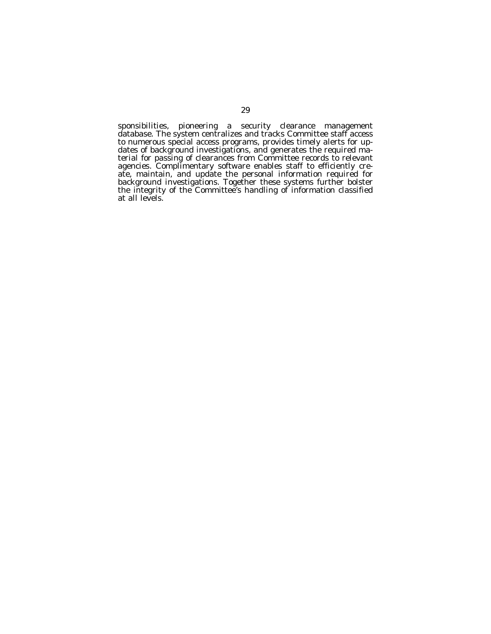sponsibilities, pioneering a security clearance management database. The system centralizes and tracks Committee staff access to numerous special access programs, provides timely alerts for updates of background investigations, and generates the required material for passing of clearances from Committee records to relevant agencies. Complimentary software enables staff to efficiently create, maintain, and update the personal information required for background investigations. Together these systems further bolster the integrity of the Committee's handling of information classified at all levels.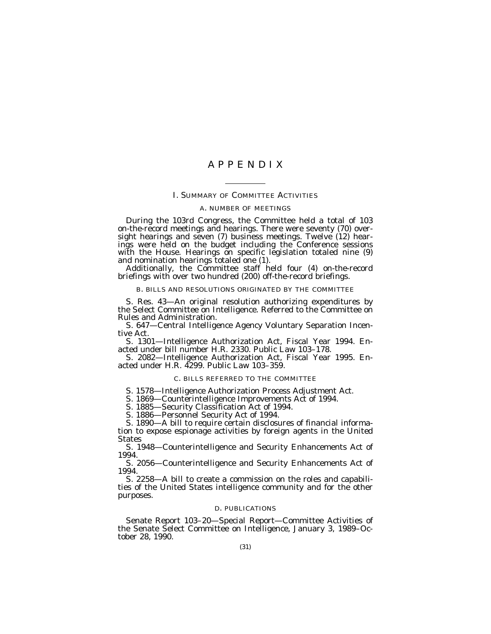# A P P E N D I X

#### I. SUMMARY OF COMMITTEE ACTIVITIES

#### A. NUMBER OF MEETINGS

During the 103rd Congress, the Committee held a total of 103 on-the-record meetings and hearings. There were seventy (70) oversight hearings and seven (7) business meetings. Twelve (12) hearings were held on the budget including the Conference sessions with the House. Hearings on specific legislation totaled nine (9)

and nomination hearings totaled one (1).<br>Additionally, the Committee staff held four (4) on-the-record<br>briefings with over two hundred (200) off-the-record briefings.

### B. BILLS AND RESOLUTIONS ORIGINATED BY THE COMMITTEE

S. Res. 43—An original resolution authorizing expenditures by the Select Committee on Intelligence. Referred to the Committee on Rules and Administration.

S. 647—Central Intelligence Agency Voluntary Separation Incentive Act.

S. 1301—Intelligence Authorization Act, Fiscal Year 1994. Enacted under bill number H.R. 2330. Public Law 103–178.

S. 2082—Intelligence Authorization Act, Fiscal Year 1995. Enacted under H.R. 4299. Public Law 103–359.

### C. BILLS REFERRED TO THE COMMITTEE

S. 1578—Intelligence Authorization Process Adjustment Act.

S. 1869—Counterintelligence Improvements Act of 1994.

S. 1885—Security Classification Act of 1994.

S. 1886—Personnel Security Act of 1994.

S. 1890—A bill to require certain disclosures of financial information to expose espionage activities by foreign agents in the United States

S. 1948—Counterintelligence and Security Enhancements Act of 1994.

S. 2056—Counterintelligence and Security Enhancements Act of 1994.

S. 2258—A bill to create a commission on the roles and capabilities of the United States intelligence community and for the other purposes.

### D. PUBLICATIONS

Senate Report 103–20—Special Report—Committee Activities of the Senate Select Committee on Intelligence, January 3, 1989–October 28, 1990.